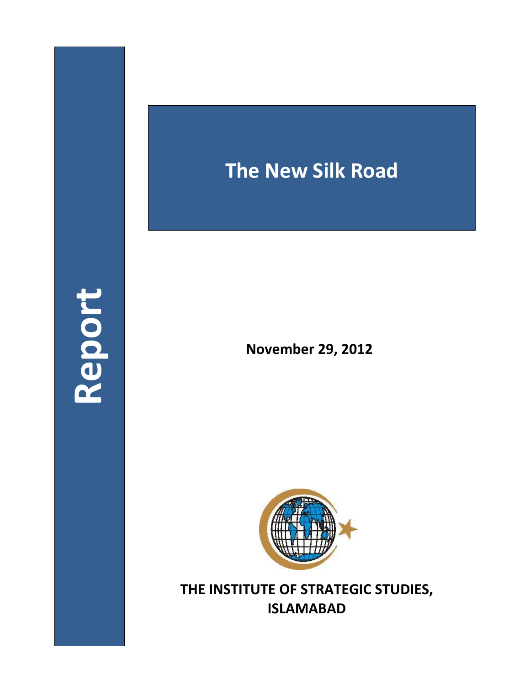## **Report**

## **The New Silk Road**

**November 29, 2012**



**THE INSTITUTE OF STRATEGIC STUDIES, ISLAMABAD**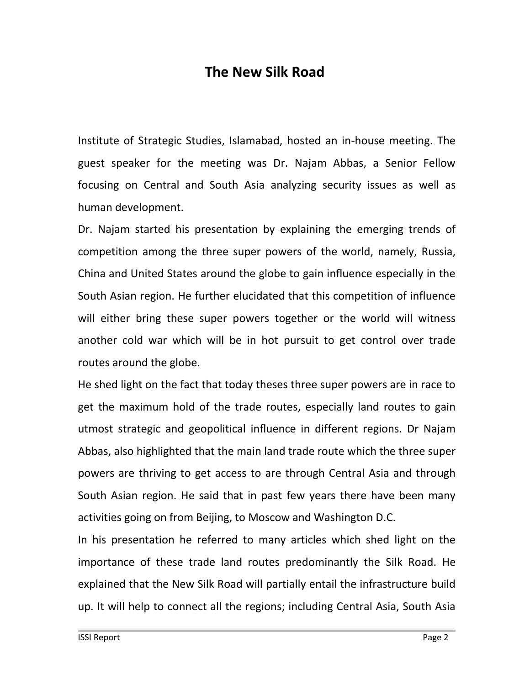## **The New Silk Road**

Institute of Strategic Studies, Islamabad, hosted an in-house meeting. The guest speaker for the meeting was Dr. Najam Abbas, a Senior Fellow focusing on Central and South Asia analyzing security issues as well as human development.

Dr. Najam started his presentation by explaining the emerging trends of competition among the three super powers of the world, namely, Russia, China and United States around the globe to gain influence especially in the South Asian region. He further elucidated that this competition of influence will either bring these super powers together or the world will witness another cold war which will be in hot pursuit to get control over trade routes around the globe.

He shed light on the fact that today theses three super powers are in race to get the maximum hold of the trade routes, especially land routes to gain utmost strategic and geopolitical influence in different regions. Dr Najam Abbas, also highlighted that the main land trade route which the three super powers are thriving to get access to are through Central Asia and through South Asian region. He said that in past few years there have been many activities going on from Beijing, to Moscow and Washington D.C.

In his presentation he referred to many articles which shed light on the importance of these trade land routes predominantly the Silk Road. He explained that the New Silk Road will partially entail the infrastructure build up. It will help to connect all the regions; including Central Asia, South Asia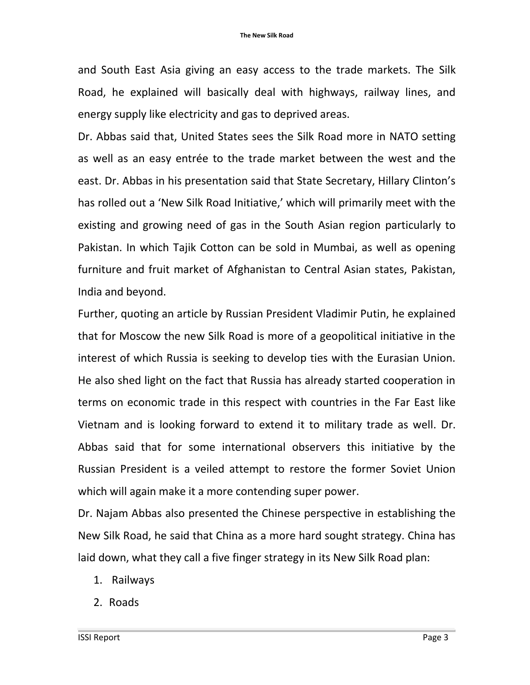and South East Asia giving an easy access to the trade markets. The Silk Road, he explained will basically deal with highways, railway lines, and energy supply like electricity and gas to deprived areas.

Dr. Abbas said that, United States sees the Silk Road more in NATO setting as well as an easy entrée to the trade market between the west and the east. Dr. Abbas in his presentation said that State Secretary, Hillary Clinton's has rolled out a 'New Silk Road Initiative,' which will primarily meet with the existing and growing need of gas in the South Asian region particularly to Pakistan. In which Tajik Cotton can be sold in Mumbai, as well as opening furniture and fruit market of Afghanistan to Central Asian states, Pakistan, India and beyond.

Further, quoting an article by Russian President Vladimir Putin, he explained that for Moscow the new Silk Road is more of a geopolitical initiative in the interest of which Russia is seeking to develop ties with the Eurasian Union. He also shed light on the fact that Russia has already started cooperation in terms on economic trade in this respect with countries in the Far East like Vietnam and is looking forward to extend it to military trade as well. Dr. Abbas said that for some international observers this initiative by the Russian President is a veiled attempt to restore the former Soviet Union which will again make it a more contending super power.

Dr. Najam Abbas also presented the Chinese perspective in establishing the New Silk Road, he said that China as a more hard sought strategy. China has laid down, what they call a five finger strategy in its New Silk Road plan:

- 1. Railways
- 2. Roads